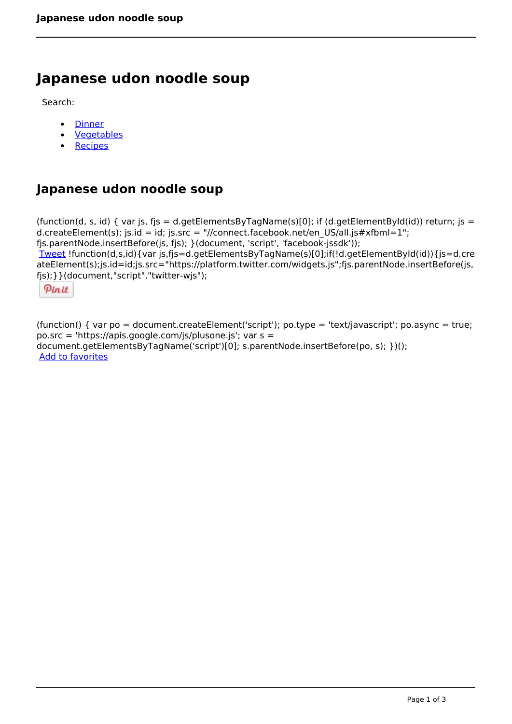# **Japanese udon noodle soup**

Search:

- **[Dinner](https://www.naturalhealthmag.com.au/nourish/dinner-ideas)**  $\bullet$
- [Vegetables](https://www.naturalhealthmag.com.au/nourish/veg)  $\bullet$
- **[Recipes](https://www.naturalhealthmag.com.au/nourish/recipes)**  $\bullet$

## **Japanese udon noodle soup**

```
(function(d, s, id) { var js, fjs = d.getElementsByTagName(s)[0]; if (d.getElementById(id)) return; js =
d.createElement(s); js.id = id; js.src = "//connect.facebook.net/en_US/all.js#xfbml=1";
fjs.parentNode.insertBefore(js, fjs); }(document, 'script', 'facebook-jssdk')); 
Tweet !function(d,s,id){var js,fjs=d.getElementsByTagName(s)[0];if(!d.getElementById(id)){js=d.cre
ateElement(s);js.id=id;js.src="https://platform.twitter.com/widgets.js";fjs.parentNode.insertBefore(js,
fjs);}}(document,"script","twitter-wjs"); 
  Pin it
```
(function() { var po = document.createElement('script'); po.type = 'text/javascript'; po.async = true; po.src = 'https://apis.google.com/js/plusone.js'; var s = document.getElementsByTagName('script')[0]; s.parentNode.insertBefore(po, s); })(); Add to favorites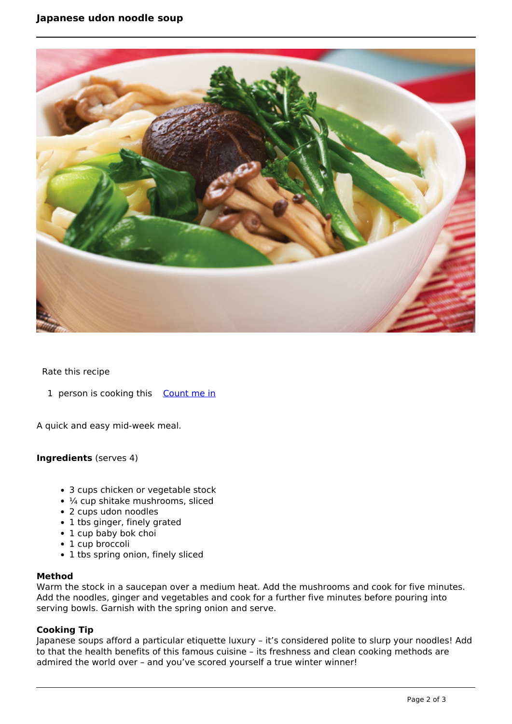

### Rate this recipe

1 person is cooking this [Count me in](https://www.naturalhealthmag.com.au/flag/flag/favorites/434?destination=printpdf%2F434&token=6c86fef907bb248cc2e9b530a64a3995)

A quick and easy mid-week meal.

#### **Ingredients** (serves 4)

- 3 cups chicken or vegetable stock
- ¼ cup shitake mushrooms, sliced
- 2 cups udon noodles
- 1 tbs ginger, finely grated
- 1 cup baby bok choi
- 1 cup broccoli
- 1 tbs spring onion, finely sliced

#### **Method**

Warm the stock in a saucepan over a medium heat. Add the mushrooms and cook for five minutes. Add the noodles, ginger and vegetables and cook for a further five minutes before pouring into serving bowls. Garnish with the spring onion and serve.

### **Cooking Tip**

Japanese soups afford a particular etiquette luxury – it's considered polite to slurp your noodles! Add to that the health benefits of this famous cuisine – its freshness and clean cooking methods are admired the world over – and you've scored yourself a true winter winner!